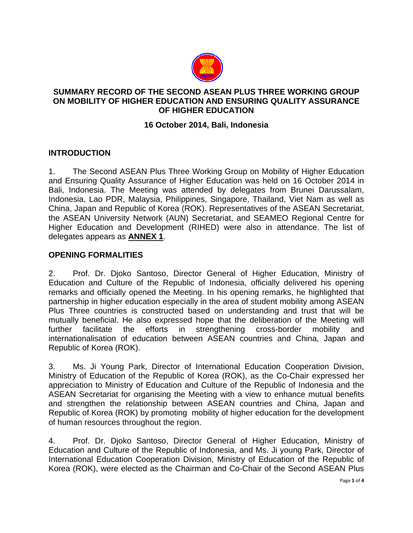

#### **SUMMARY RECORD OF THE SECOND ASEAN PLUS THREE WORKING GROUP ON MOBILITY OF HIGHER EDUCATION AND ENSURING QUALITY ASSURANCE OF HIGHER EDUCATION**

### **16 October 2014, Bali, Indonesia**

### **INTRODUCTION**

1. The Second ASEAN Plus Three Working Group on Mobility of Higher Education and Ensuring Quality Assurance of Higher Education was held on 16 October 2014 in Bali, Indonesia. The Meeting was attended by delegates from Brunei Darussalam, Indonesia, Lao PDR, Malaysia, Philippines, Singapore, Thailand, Viet Nam as well as China, Japan and Republic of Korea (ROK). Representatives of the ASEAN Secretariat, the ASEAN University Network (AUN) Secretariat, and SEAMEO Regional Centre for Higher Education and Development (RIHED) were also in attendance. The list of delegates appears as **ANNEX 1**.

### **OPENING FORMALITIES**

2. Prof. Dr. Djoko Santoso, Director General of Higher Education, Ministry of Education and Culture of the Republic of Indonesia, officially delivered his opening remarks and officially opened the Meeting. In his opening remarks, he highlighted that partnership in higher education especially in the area of student mobility among ASEAN Plus Three countries is constructed based on understanding and trust that will be mutually beneficial. He also expressed hope that the deliberation of the Meeting will further facilitate the efforts in strengthening cross-border mobility and internationalisation of education between ASEAN countries and China, Japan and Republic of Korea (ROK).

3. Ms. Ji Young Park, Director of International Education Cooperation Division, Ministry of Education of the Republic of Korea (ROK), as the Co-Chair expressed her appreciation to Ministry of Education and Culture of the Republic of Indonesia and the ASEAN Secretariat for organising the Meeting with a view to enhance mutual benefits and strengthen the relationship between ASEAN countries and China, Japan and Republic of Korea (ROK) by promoting mobility of higher education for the development of human resources throughout the region.

4. Prof. Dr. Djoko Santoso, Director General of Higher Education, Ministry of Education and Culture of the Republic of Indonesia, and Ms. Ji young Park, Director of International Education Cooperation Division, Ministry of Education of the Republic of Korea (ROK), were elected as the Chairman and Co-Chair of the Second ASEAN Plus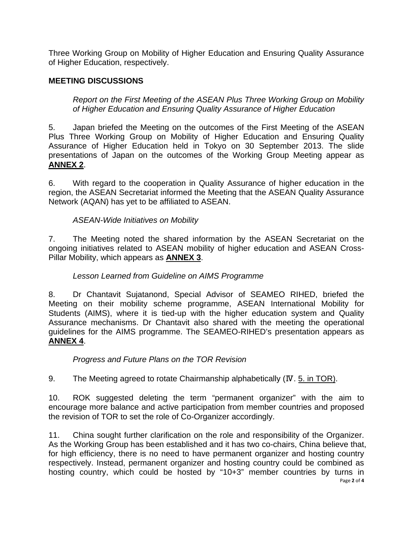Three Working Group on Mobility of Higher Education and Ensuring Quality Assurance of Higher Education, respectively.

## **MEETING DISCUSSIONS**

*Report on the First Meeting of the ASEAN Plus Three Working Group on Mobility of Higher Education and Ensuring Quality Assurance of Higher Education* 

5. Japan briefed the Meeting on the outcomes of the First Meeting of the ASEAN Plus Three Working Group on Mobility of Higher Education and Ensuring Quality Assurance of Higher Education held in Tokyo on 30 September 2013. The slide presentations of Japan on the outcomes of the Working Group Meeting appear as **ANNEX 2**.

6. With regard to the cooperation in Quality Assurance of higher education in the region, the ASEAN Secretariat informed the Meeting that the ASEAN Quality Assurance Network (AQAN) has yet to be affiliated to ASEAN.

### *ASEAN-Wide Initiatives on Mobility*

7. The Meeting noted the shared information by the ASEAN Secretariat on the ongoing initiatives related to ASEAN mobility of higher education and ASEAN Cross-Pillar Mobility, which appears as **ANNEX 3**.

### *Lesson Learned from Guideline on AIMS Programme*

8. Dr Chantavit Sujatanond, Special Advisor of SEAMEO RIHED, briefed the Meeting on their mobility scheme programme, ASEAN International Mobility for Students (AIMS), where it is tied-up with the higher education system and Quality Assurance mechanisms. Dr Chantavit also shared with the meeting the operational guidelines for the AIMS programme. The SEAMEO-RIHED's presentation appears as **ANNEX 4**.

### *Progress and Future Plans on the TOR Revision*

9. The Meeting agreed to rotate Chairmanship alphabetically (IV. 5. in TOR).

10. ROK suggested deleting the term "permanent organizer" with the aim to encourage more balance and active participation from member countries and proposed the revision of TOR to set the role of Co-Organizer accordingly.

Page **2** of **4** 11. China sought further clarification on the role and responsibility of the Organizer. As the Working Group has been established and it has two co-chairs, China believe that, for high efficiency, there is no need to have permanent organizer and hosting country respectively. Instead, permanent organizer and hosting country could be combined as hosting country, which could be hosted by "10+3" member countries by turns in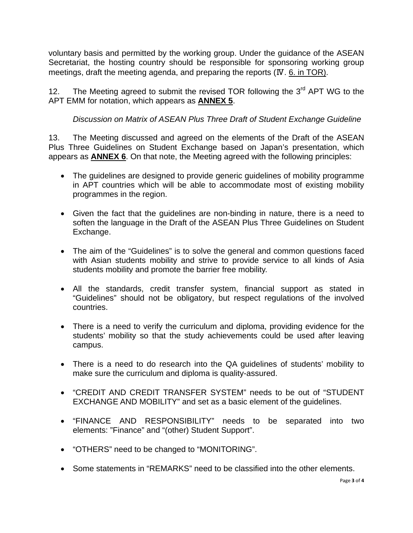voluntary basis and permitted by the working group. Under the guidance of the ASEAN Secretariat, the hosting country should be responsible for sponsoring working group meetings, draft the meeting agenda, and preparing the reports (Ⅳ. 6. in TOR).

12. The Meeting agreed to submit the revised TOR following the  $3<sup>rd</sup>$  APT WG to the APT EMM for notation, which appears as **ANNEX 5**.

# *Discussion on Matrix of ASEAN Plus Three Draft of Student Exchange Guideline*

13. The Meeting discussed and agreed on the elements of the Draft of the ASEAN Plus Three Guidelines on Student Exchange based on Japan's presentation, which appears as **ANNEX 6**. On that note, the Meeting agreed with the following principles:

- The guidelines are designed to provide generic guidelines of mobility programme in APT countries which will be able to accommodate most of existing mobility programmes in the region.
- Given the fact that the guidelines are non-binding in nature, there is a need to soften the language in the Draft of the ASEAN Plus Three Guidelines on Student Exchange.
- The aim of the "Guidelines" is to solve the general and common questions faced with Asian students mobility and strive to provide service to all kinds of Asia students mobility and promote the barrier free mobility.
- All the standards, credit transfer system, financial support as stated in "Guidelines" should not be obligatory, but respect regulations of the involved countries.
- There is a need to verify the curriculum and diploma, providing evidence for the students' mobility so that the study achievements could be used after leaving campus.
- There is a need to do research into the QA guidelines of students' mobility to make sure the curriculum and diploma is quality-assured.
- "CREDIT AND CREDIT TRANSFER SYSTEM" needs to be out of "STUDENT EXCHANGE AND MOBILITY" and set as a basic element of the guidelines.
- "FINANCE AND RESPONSIBILITY" needs to be separated into two elements: "Finance" and "(other) Student Support".
- "OTHERS" need to be changed to "MONITORING".
- Some statements in "REMARKS" need to be classified into the other elements.